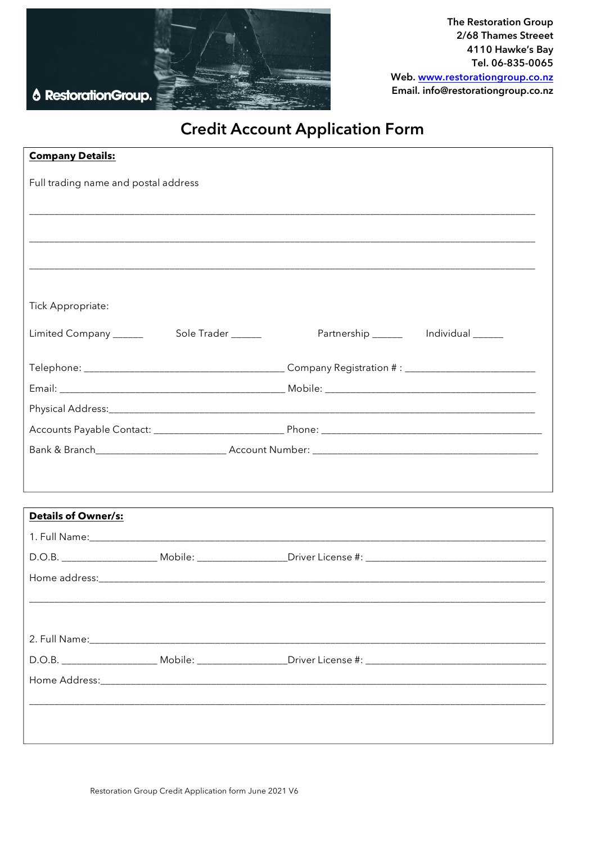

# **Credit Account Application Form**

| <b>Company Details:</b>              |                                                                                                                |
|--------------------------------------|----------------------------------------------------------------------------------------------------------------|
| Full trading name and postal address |                                                                                                                |
|                                      |                                                                                                                |
|                                      |                                                                                                                |
|                                      |                                                                                                                |
|                                      |                                                                                                                |
|                                      |                                                                                                                |
| Tick Appropriate:                    |                                                                                                                |
|                                      | Partnership _______ Individual _____                                                                           |
|                                      |                                                                                                                |
|                                      |                                                                                                                |
|                                      |                                                                                                                |
|                                      |                                                                                                                |
|                                      |                                                                                                                |
|                                      |                                                                                                                |
|                                      |                                                                                                                |
| Details of Owner/s:                  |                                                                                                                |
|                                      |                                                                                                                |
|                                      |                                                                                                                |
|                                      |                                                                                                                |
|                                      |                                                                                                                |
|                                      |                                                                                                                |
|                                      |                                                                                                                |
|                                      | D.O.B. ___________________________Mobile: ____________________Driver License #: ______________________________ |
|                                      |                                                                                                                |
|                                      |                                                                                                                |
|                                      |                                                                                                                |
|                                      |                                                                                                                |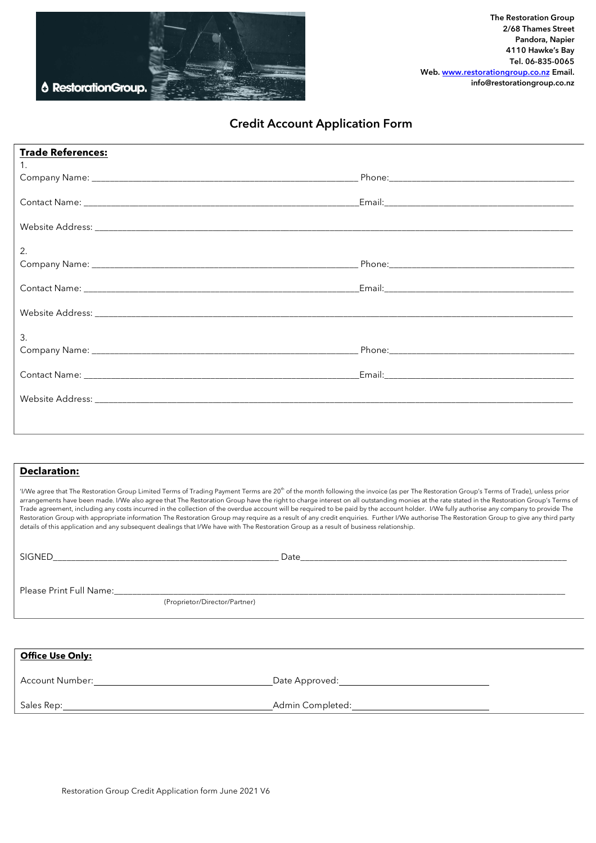

## **Credit Account Application Form**

| <b>Trade References:</b> |  |
|--------------------------|--|
| $1.$ $\blacksquare$      |  |
|                          |  |
|                          |  |
| 2.                       |  |
|                          |  |
|                          |  |
| 3.                       |  |
|                          |  |
|                          |  |
|                          |  |

#### **Declaration:**

'I/We agree that The Restoration Group Limited Terms of Trading Payment Terms are 20<sup>th</sup> of the month following the invoice (as per The Restoration Group's Terms of Trade), unless prior arrangements have been made. I/We also agree that The Restoration Group have the right to charge interest on all outstanding monies at the rate stated in the Restoration Group's Terms of Trade agreement, including any costs incurred in the collection of the overdue account will be required to be paid by the account holder. I/We fully authorise any company to provide The Restoration Group with appropriate information The Restoration Group may require as a result of any credit enquiries. Further I/We authorise The Restoration Group to give any third party details of this application and any subsequent dealings that I/We have with The Restoration Group as a result of business relationship.

| SIGNED                  | Date<br><u> 1980 - Johann Barn, fransk politik (f. 1980)</u> |
|-------------------------|--------------------------------------------------------------|
|                         | (Proprietor/Director/Partner)                                |
|                         |                                                              |
| <b>Office Use Only:</b> |                                                              |

Account Number: Date Approved:

Sales Rep: Admin Completed: